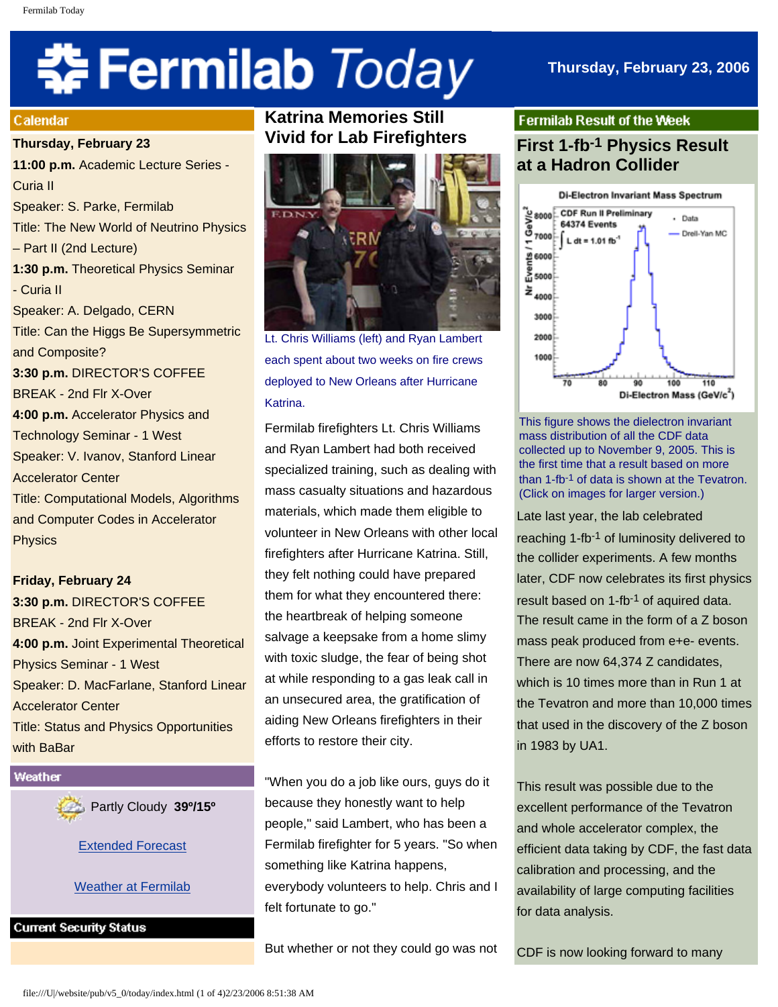# **\* Fermilab** *Today*

# **Thursday, February 23, 2006**

#### **Calendar**

**Thursday, February 23**

**11:00 p.m.** Academic Lecture Series - Curia II Speaker: S. Parke, Fermilab Title: The New World of Neutrino Physics – Part II (2nd Lecture) **1:30 p.m.** Theoretical Physics Seminar - Curia II Speaker: A. Delgado, CERN Title: Can the Higgs Be Supersymmetric and Composite? **3:30 p.m.** DIRECTOR'S COFFEE BREAK - 2nd Flr X-Over **4:00 p.m.** Accelerator Physics and Technology Seminar - 1 West Speaker: V. Ivanov, Stanford Linear Accelerator Center Title: Computational Models, Algorithms and Computer Codes in Accelerator Physics

**Friday, February 24 3:30 p.m.** DIRECTOR'S COFFEE BREAK - 2nd Flr X-Over **4:00 p.m.** Joint Experimental Theoretical Physics Seminar - 1 West Speaker: D. MacFarlane, Stanford Linear Accelerator Center Title: Status and Physics Opportunities with BaBar

# Weather

Partly Cloudy **39º/15º**

[Extended Forecast](http://www.srh.noaa.gov/data/forecasts/ILZ012.php?warncounty=ILC089&city=Batavia)

**Weather at Fermilab** 

**Current Security Status** 

# **Katrina Memories Still Vivid for Lab Firefighters**



Lt. Chris Williams (left) and Ryan Lambert each spent about two weeks on fire crews deployed to New Orleans after Hurricane Katrina.

Fermilab firefighters Lt. Chris Williams and Ryan Lambert had both received specialized training, such as dealing with mass casualty situations and hazardous materials, which made them eligible to volunteer in New Orleans with other local firefighters after Hurricane Katrina. Still, they felt nothing could have prepared them for what they encountered there: the heartbreak of helping someone salvage a keepsake from a home slimy with toxic sludge, the fear of being shot at while responding to a gas leak call in an unsecured area, the gratification of aiding New Orleans firefighters in their efforts to restore their city.

"When you do a job like ours, guys do it because they honestly want to help people," said Lambert, who has been a Fermilab firefighter for 5 years. "So when something like Katrina happens, everybody volunteers to help. Chris and I felt fortunate to go."

But whether or not they could go was not

## **Fermilab Result of the Week**

# **First 1-fb-1 Physics Result at a Hadron Collider**



This figure shows the dielectron invariant mass distribution of all the CDF data collected up to November 9, 2005. This is the first time that a result based on more than 1-fb-1 of data is shown at the Tevatron. (Click on images for larger version.)

Late last year, the lab celebrated reaching 1-fb-1 of luminosity delivered to the collider experiments. A few months later, CDF now celebrates its first physics result based on 1-fb-1 of aquired data. The result came in the form of a Z boson mass peak produced from e+e- events. There are now 64,374 Z candidates, which is 10 times more than in Run 1 at the Tevatron and more than 10,000 times that used in the discovery of the Z boson in 1983 by UA1.

This result was possible due to the excellent performance of the Tevatron and whole accelerator complex, the efficient data taking by CDF, the fast data calibration and processing, and the availability of large computing facilities for data analysis.

CDF is now looking forward to many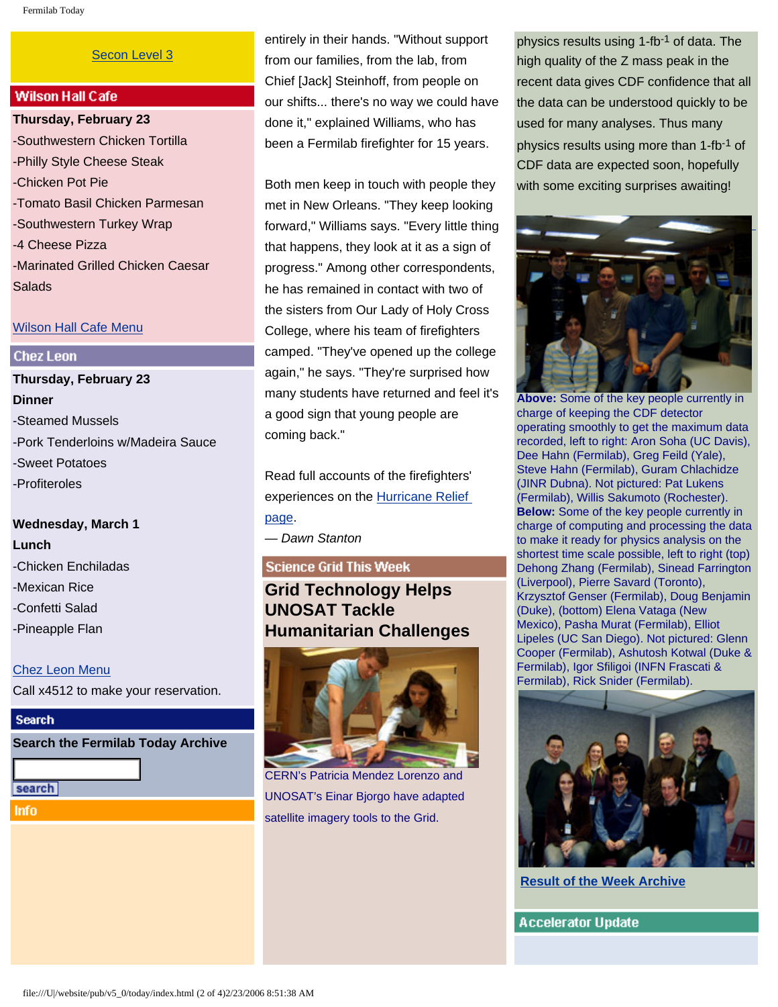#### [Secon Level 3](http://www.fnal.gov/pub/about/public_affairs/currentstatus.html)

## **Wilson Hall Cafe**

**Thursday, February 23** -Southwestern Chicken Tortilla -Philly Style Cheese Steak -Chicken Pot Pie -Tomato Basil Chicken Parmesan -Southwestern Turkey Wrap -4 Cheese Pizza -Marinated Grilled Chicken Caesar **Salads** 

#### [Wilson Hall Cafe Menu](http://lss.fnal.gov/cafe/)

## **Chez Leon**

**Thursday, February 23 Dinner** -Steamed Mussels -Pork Tenderloins w/Madeira Sauce -Sweet Potatoes -Profiteroles

#### **Wednesday, March 1**

**Lunch** -Chicken Enchiladas -Mexican Rice -Confetti Salad -Pineapple Flan

#### [Chez Leon Menu](http://lss.fnal.gov/chezleon/index.html)

Call x4512 to make your reservation.

## **Search**

**Search the Fermilab Today Archive**

search

**Info** 

entirely in their hands. "Without support from our families, from the lab, from Chief [Jack] Steinhoff, from people on our shifts... there's no way we could have done it," explained Williams, who has been a Fermilab firefighter for 15 years.

Both men keep in touch with people they met in New Orleans. "They keep looking forward," Williams says. "Every little thing that happens, they look at it as a sign of progress." Among other correspondents, he has remained in contact with two of the sisters from Our Lady of Holy Cross College, where his team of firefighters camped. "They've opened up the college again," he says. "They're surprised how many students have returned and feel it's a good sign that young people are coming back."

Read full accounts of the firefighters' experiences on the [Hurricane Relief](http://www.fnal.gov/pub/today/katrina_relief.html)  [page.](http://www.fnal.gov/pub/today/katrina_relief.html) — *Dawn Stanton*

#### **Science Grid This Week**

# **Grid Technology Helps UNOSAT Tackle Humanitarian Challenges**



CERN's Patricia Mendez Lorenzo and UNOSAT's Einar Bjorgo have adapted satellite imagery tools to the Grid.

physics results using 1-fb-1 of data. The high quality of the Z mass peak in the recent data gives CDF confidence that all the data can be understood quickly to be used for many analyses. Thus many physics results using more than 1-fb-1 of CDF data are expected soon, hopefully with some exciting surprises awaiting!



**Above:** Some of the key people currently in charge of keeping the CDF detector operating smoothly to get the maximum data recorded, left to right: Aron Soha (UC Davis), Dee Hahn (Fermilab), Greg Feild (Yale), Steve Hahn (Fermilab), Guram Chlachidze (JINR Dubna). Not pictured: Pat Lukens (Fermilab), Willis Sakumoto (Rochester). **Below:** Some of the key people currently in charge of computing and processing the data to make it ready for physics analysis on the shortest time scale possible, left to right (top) Dehong Zhang (Fermilab), Sinead Farrington (Liverpool), Pierre Savard (Toronto), Krzysztof Genser (Fermilab), Doug Benjamin (Duke), (bottom) Elena Vataga (New Mexico), Pasha Murat (Fermilab), Elliot Lipeles (UC San Diego). Not pictured: Glenn Cooper (Fermilab), Ashutosh Kotwal (Duke & Fermilab), Igor Sfiligoi (INFN Frascati & Fermilab), Rick Snider (Fermilab).



**[Result of the Week Archive](http://www.fnal.gov/pub/today/resultoftheweek/index.html)**

**Accelerator Update**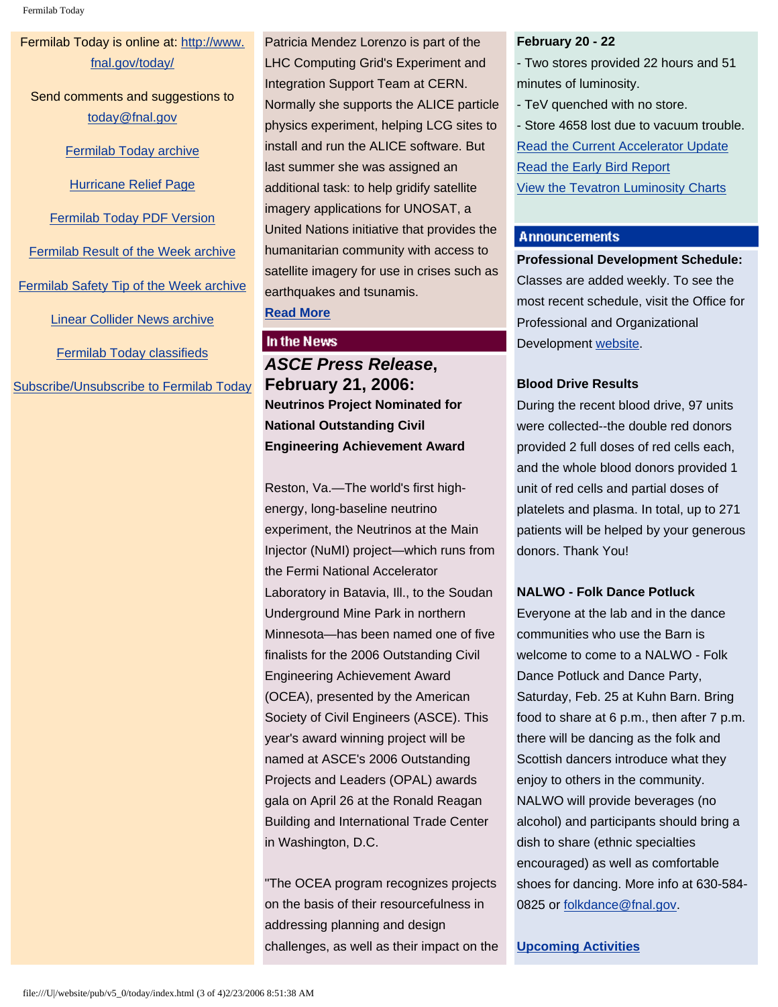# Fermilab Today is online at: [http://www.](http://www.fnal.gov/today/) [fnal.gov/today/](http://www.fnal.gov/today/)

Send comments and suggestions to [today@fnal.gov](mailto:today@fnal.gov)

[Fermilab Today archive](http://www.fnal.gov/pub/today/archive.html)

[Hurricane Relief Page](http://www.fnal.gov/pub/today/katrina_relief.html)

[Fermilab Today PDF Version](http://www.fnal.gov/pub/today/archive.html)

[Fermilab Result of the Week archive](http://www.fnal.gov/pub/today/resultoftheweek/index.html)

[Fermilab Safety Tip of the Week archive](http://www.fnal.gov/pub/today/safety/index.html)

[Linear Collider News archive](http://www.fnal.gov/pub/today/linearcollider/index.html)

[Fermilab Today classifieds](http://www.fnal.gov/pub/today/classifieds.html)

[Subscribe/Unsubscribe to Fermilab Today](http://www.fnal.gov/pub/today/subscription.html)

Patricia Mendez Lorenzo is part of the LHC Computing Grid's Experiment and Integration Support Team at CERN. Normally she supports the ALICE particle physics experiment, helping LCG sites to install and run the ALICE software. But last summer she was assigned an additional task: to help gridify satellite imagery applications for UNOSAT, a United Nations initiative that provides the humanitarian community with access to satellite imagery for use in crises such as earthquakes and tsunamis.

# **[Read More](http://www.interactions.org/sgtw/)**

## In the News

*ASCE Press Release***, February 21, 2006: Neutrinos Project Nominated for National Outstanding Civil Engineering Achievement Award** 

Reston, Va.—The world's first highenergy, long-baseline neutrino experiment, the Neutrinos at the Main Injector (NuMI) project—which runs from the Fermi National Accelerator Laboratory in Batavia, Ill., to the Soudan Underground Mine Park in northern Minnesota—has been named one of five finalists for the 2006 Outstanding Civil Engineering Achievement Award (OCEA), presented by the American Society of Civil Engineers (ASCE). This year's award winning project will be named at ASCE's 2006 Outstanding Projects and Leaders (OPAL) awards gala on April 26 at the Ronald Reagan Building and International Trade Center in Washington, D.C.

"The OCEA program recognizes projects on the basis of their resourcefulness in addressing planning and design challenges, as well as their impact on the

#### **February 20 - 22**

- Two stores provided 22 hours and 51 minutes of luminosity.

- TeV quenched with no store.

- Store 4658 lost due to vacuum trouble. [Read the Current Accelerator Update](http://www.fnal.gov/pub/news06/update.html) [Read the Early Bird Report](http://www-bd.fnal.gov/earlybird/ebird.html) [View the Tevatron Luminosity Charts](http://www.fnal.gov/pub/now/tevlum.html)

#### **Announcements**

**Professional Development Schedule:** Classes are added weekly. To see the most recent schedule, visit the Office for Professional and Organizational Development [website](http://lss.fnal.gov/train-dev/index.html).

## **Blood Drive Results**

During the recent blood drive, 97 units were collected--the double red donors provided 2 full doses of red cells each, and the whole blood donors provided 1 unit of red cells and partial doses of platelets and plasma. In total, up to 271 patients will be helped by your generous donors. Thank You!

#### **NALWO - Folk Dance Potluck**

Everyone at the lab and in the dance communities who use the Barn is welcome to come to a NALWO - Folk Dance Potluck and Dance Party, Saturday, Feb. 25 at Kuhn Barn. Bring food to share at 6 p.m., then after 7 p.m. there will be dancing as the folk and Scottish dancers introduce what they enjoy to others in the community. NALWO will provide beverages (no alcohol) and participants should bring a dish to share (ethnic specialties encouraged) as well as comfortable shoes for dancing. More info at 630-584- 0825 or [folkdance@fnal.gov.](mailto:folkdance@fnal.gov)

**[Upcoming Activities](http://www.fnal.gov/pub/today/upcoming_activities.html)**